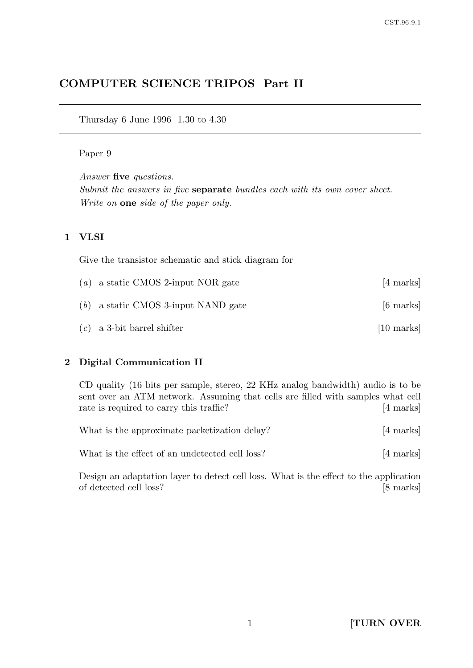# COMPUTER SCIENCE TRIPOS Part II

Thursday 6 June 1996 1.30 to 4.30

### Paper 9

Answer five questions. Submit the answers in five separate bundles each with its own cover sheet. Write on one side of the paper only.

### 1 VLSI

Give the transistor schematic and stick diagram for

| ( <i>a</i> ) a static CMOS 2-input NOR gate | [4 marks]            |
|---------------------------------------------|----------------------|
| $(b)$ a static CMOS 3-input NAND gate       | [6 marks]            |
| $(c)$ a 3-bit barrel shifter                | $[10 \text{ marks}]$ |

### 2 Digital Communication II

CD quality (16 bits per sample, stereo, 22 KHz analog bandwidth) audio is to be sent over an ATM network. Assuming that cells are filled with samples what cell rate is required to carry this traffic? [4 marks]

| What is the approximate packetization delay?   | [4 marks] |
|------------------------------------------------|-----------|
| What is the effect of an undetected cell loss? | [4 marks] |

Design an adaptation layer to detect cell loss. What is the effect to the application of detected cell loss? [8 marks]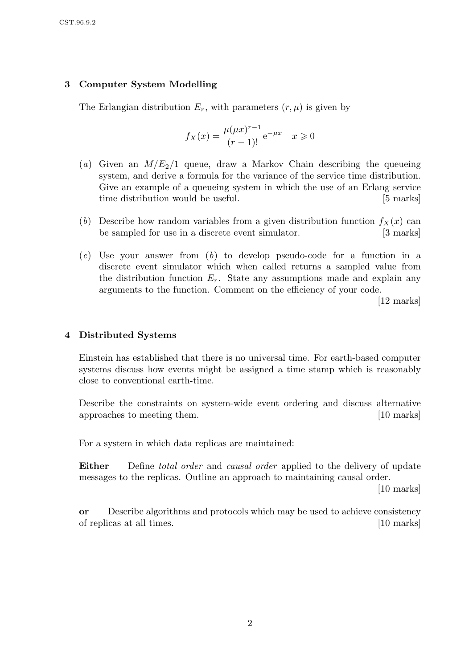### 3 Computer System Modelling

The Erlangian distribution  $E_r$ , with parameters  $(r, \mu)$  is given by

$$
f_X(x) = \frac{\mu(\mu x)^{r-1}}{(r-1)!} e^{-\mu x} \quad x \ge 0
$$

- (a) Given an  $M/E_2/1$  queue, draw a Markov Chain describing the queueing system, and derive a formula for the variance of the service time distribution. Give an example of a queueing system in which the use of an Erlang service time distribution would be useful. [5 marks]
- (b) Describe how random variables from a given distribution function  $f_X(x)$  can be sampled for use in a discrete event simulator. [3 marks]
- $(c)$  Use your answer from  $(b)$  to develop pseudo-code for a function in a discrete event simulator which when called returns a sampled value from the distribution function  $E_r$ . State any assumptions made and explain any arguments to the function. Comment on the efficiency of your code.

[12 marks]

### 4 Distributed Systems

Einstein has established that there is no universal time. For earth-based computer systems discuss how events might be assigned a time stamp which is reasonably close to conventional earth-time.

Describe the constraints on system-wide event ordering and discuss alternative approaches to meeting them. [10 marks]

For a system in which data replicas are maintained:

**Either** Define *total order* and *causal order* applied to the delivery of update messages to the replicas. Outline an approach to maintaining causal order.

[10 marks]

or Describe algorithms and protocols which may be used to achieve consistency of replicas at all times. [10 marks]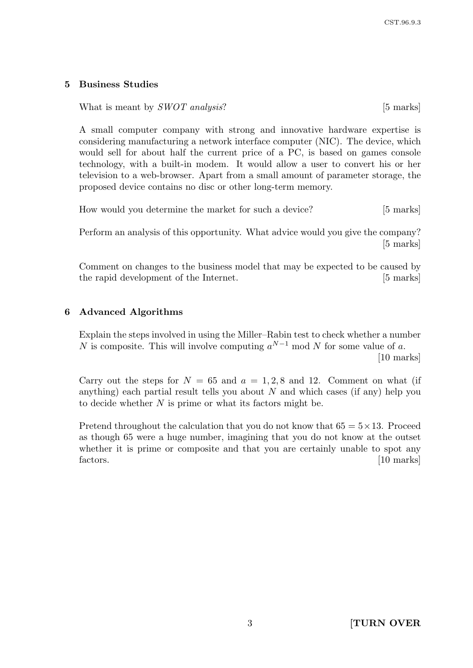### 5 Business Studies

### What is meant by  $SWOT$  analysis? [5 marks]

A small computer company with strong and innovative hardware expertise is considering manufacturing a network interface computer (NIC). The device, which would sell for about half the current price of a PC, is based on games console technology, with a built-in modem. It would allow a user to convert his or her television to a web-browser. Apart from a small amount of parameter storage, the proposed device contains no disc or other long-term memory.

How would you determine the market for such a device? [5 marks]

Perform an analysis of this opportunity. What advice would you give the company? [5 marks]

Comment on changes to the business model that may be expected to be caused by the rapid development of the Internet. [5 marks]

### 6 Advanced Algorithms

Explain the steps involved in using the Miller–Rabin test to check whether a number N is composite. This will involve computing  $a^{N-1}$  mod N for some value of a. [10 marks]

Carry out the steps for  $N = 65$  and  $a = 1, 2, 8$  and 12. Comment on what (if anything) each partial result tells you about  $N$  and which cases (if any) help you to decide whether  $N$  is prime or what its factors might be.

Pretend throughout the calculation that you do not know that  $65 = 5 \times 13$ . Proceed as though 65 were a huge number, imagining that you do not know at the outset whether it is prime or composite and that you are certainly unable to spot any factors. [10 marks]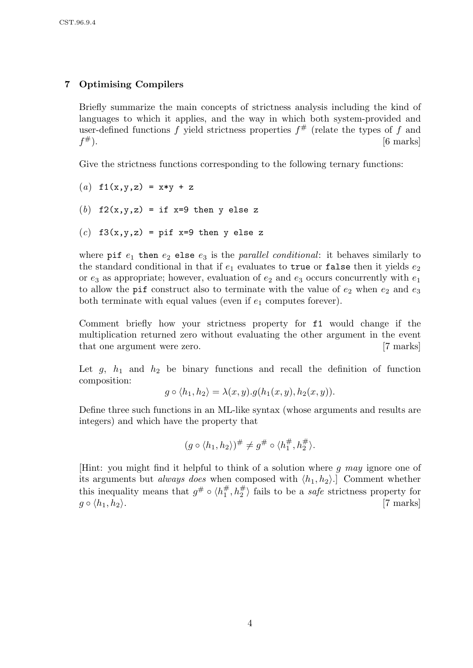# 7 Optimising Compilers

Briefly summarize the main concepts of strictness analysis including the kind of languages to which it applies, and the way in which both system-provided and user-defined functions f yield strictness properties  $f^{\#}$  (relate the types of f and  $f^{\#}$ ).  $\#$ ). [6 marks]

Give the strictness functions corresponding to the following ternary functions:

(a) 
$$
f1(x,y,z) = x*y + z
$$

(b) 
$$
f2(x,y,z) = if x=9 then y else z
$$

(c) f3(x,y,z) = pif x=9 then y else z

where pif  $e_1$  then  $e_2$  else  $e_3$  is the parallel conditional: it behaves similarly to the standard conditional in that if  $e_1$  evaluates to true or false then it yields  $e_2$ or  $e_3$  as appropriate; however, evaluation of  $e_2$  and  $e_3$  occurs concurrently with  $e_1$ to allow the pif construct also to terminate with the value of  $e_2$  when  $e_2$  and  $e_3$ both terminate with equal values (even if  $e_1$  computes forever).

Comment briefly how your strictness property for f1 would change if the multiplication returned zero without evaluating the other argument in the event that one argument were zero. [7 marks]

Let  $g$ ,  $h_1$  and  $h_2$  be binary functions and recall the definition of function composition:

$$
g \circ \langle h_1, h_2 \rangle = \lambda(x, y).g(h_1(x, y), h_2(x, y)).
$$

Define three such functions in an ML-like syntax (whose arguments and results are integers) and which have the property that

$$
(g \circ \langle h_1, h_2 \rangle)^\# \neq g^\# \circ \langle h_1^\#, h_2^\# \rangle.
$$

[Hint: you might find it helpful to think of a solution where g may ignore one of its arguments but *always does* when composed with  $\langle h_1, h_2 \rangle$ . Comment whether this inequality means that  $g^{\#} \circ \langle h_1^{\#} \rangle$  $\frac{\#}{1}, h_2^{\#}$  fails to be a *safe* strictness property for  $q \circ \langle h_1, h_2 \rangle$ . [7 marks]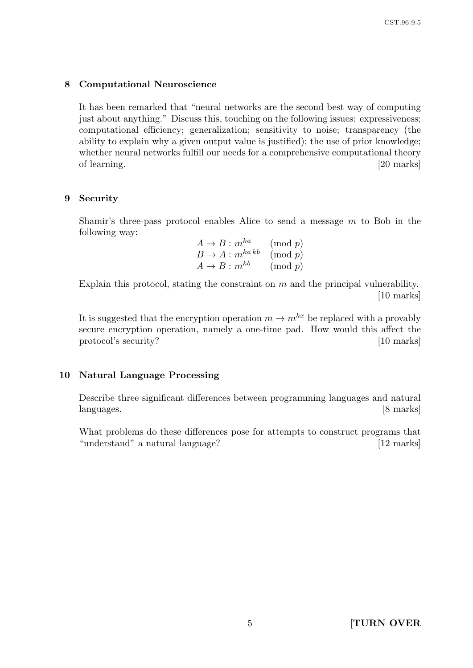### 8 Computational Neuroscience

It has been remarked that "neural networks are the second best way of computing just about anything." Discuss this, touching on the following issues: expressiveness; computational efficiency; generalization; sensitivity to noise; transparency (the ability to explain why a given output value is justified); the use of prior knowledge; whether neural networks fulfill our needs for a comprehensive computational theory of learning. [20 marks] [20 marks]

### 9 Security

Shamir's three-pass protocol enables Alice to send a message  $m$  to Bob in the following way:

$$
A \to B : m^{ka} \pmod{p}
$$
  
\n
$$
B \to A : m^{ka\,kb} \pmod{p}
$$
  
\n
$$
A \to B : m^{kb} \pmod{p}
$$

Explain this protocol, stating the constraint on m and the principal vulnerability. [10 marks]

It is suggested that the encryption operation  $m \to m^{kx}$  be replaced with a provably secure encryption operation, namely a one-time pad. How would this affect the protocol's security? [10 marks]

### 10 Natural Language Processing

Describe three significant differences between programming languages and natural languages. [8 marks]

What problems do these differences pose for attempts to construct programs that "understand" a natural language? [12 marks]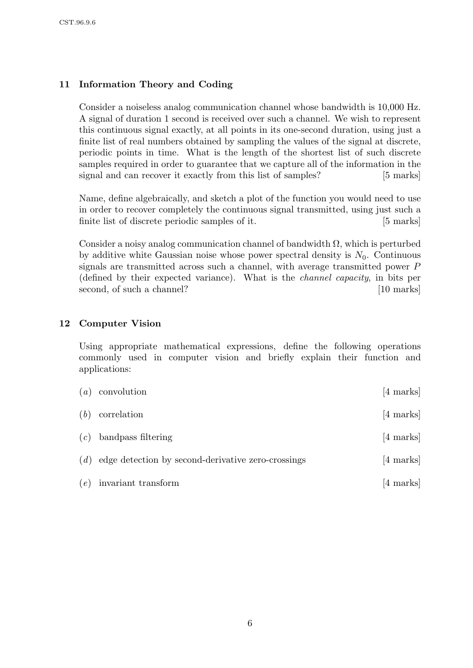## 11 Information Theory and Coding

Consider a noiseless analog communication channel whose bandwidth is 10,000 Hz. A signal of duration 1 second is received over such a channel. We wish to represent this continuous signal exactly, at all points in its one-second duration, using just a finite list of real numbers obtained by sampling the values of the signal at discrete, periodic points in time. What is the length of the shortest list of such discrete samples required in order to guarantee that we capture all of the information in the signal and can recover it exactly from this list of samples? [5 marks]

Name, define algebraically, and sketch a plot of the function you would need to use in order to recover completely the continuous signal transmitted, using just such a finite list of discrete periodic samples of it. [5 marks]

Consider a noisy analog communication channel of bandwidth  $\Omega$ , which is perturbed by additive white Gaussian noise whose power spectral density is  $N_0$ . Continuous signals are transmitted across such a channel, with average transmitted power P (defined by their expected variance). What is the channel capacity, in bits per second, of such a channel? [10 marks]

### 12 Computer Vision

Using appropriate mathematical expressions, define the following operations commonly used in computer vision and briefly explain their function and applications:

| (a) | convolution                                        | $[4 \text{ marks}]$ |
|-----|----------------------------------------------------|---------------------|
| (b) | correlation                                        | $[4 \text{ marks}]$ |
| (c) | bandpass filtering                                 | $[4 \text{ marks}]$ |
| (d) | edge detection by second-derivative zero-crossings | [4 marks]           |
| (e) | invariant transform                                | [4 marks]           |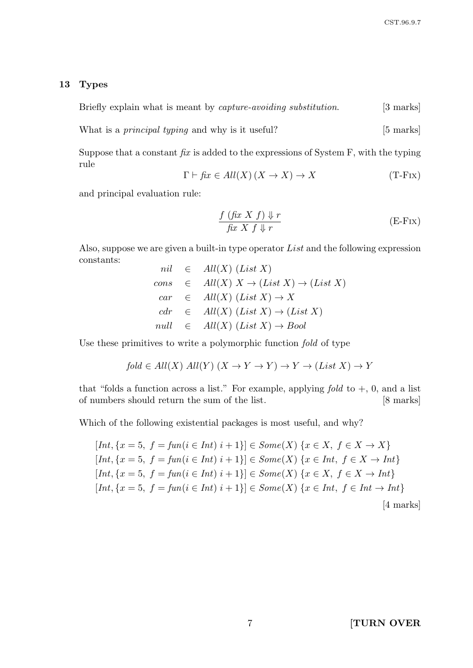### 13 Types

$$
Briefly explain what is meant by capture-avoiding substitution. [3 marks]
$$

What is a *principal typing* and why is it useful? [5 marks]

Suppose that a constant  $\hat{f}x$  is added to the expressions of System F, with the typing rule

$$
\Gamma \vdash \text{fix} \in All(X)(X \to X) \to X \tag{T-Fix}
$$

and principal evaluation rule:

$$
\frac{f\left(\text{fix } X \text{ } f\right) \downarrow r}{\text{fix } X \text{ } f \downarrow r} \tag{E-Fix}
$$

Also, suppose we are given a built-in type operator List and the following expression constants:  $n = \text{Al}(V)$  (List Y)

$$
nil \in All(X) (List X)
$$
  
\n
$$
cons \in All(X) X \to (List X) \to (List X)
$$
  
\n
$$
car \in All(X) (List X) \to X
$$
  
\n
$$
cdr \in All(X) (List X) \to (List X)
$$
  
\n
$$
null \in All(X) (List X) \to Bool
$$

Use these primitives to write a polymorphic function fold of type

$$
fold \in All(X) All(Y) (X \to Y \to Y) \to Y \to (List X) \to Y
$$

that "folds a function across a list." For example, applying fold to  $+$ , 0, and a list of numbers should return the sum of the list. [8 marks]

Which of the following existential packages is most useful, and why?

$$
[Int, \{x = 5, f = \text{fun}(i \in Int) \ i + 1\}] \in Some(X) \{x \in X, f \in X \to X\}
$$
\n
$$
[Int, \{x = 5, f = \text{fun}(i \in Int) \ i + 1\}] \in Some(X) \{x \in Int, f \in X \to Int\}
$$
\n
$$
[Int, \{x = 5, f = \text{fun}(i \in Int) \ i + 1\}] \in Some(X) \{x \in X, f \in X \to Int\}
$$
\n
$$
[Int, \{x = 5, f = \text{fun}(i \in Int) \ i + 1\}] \in Some(X) \{x \in Int, f \in Int \to Int\}
$$
\n
$$
[4 \text{ marks}]
$$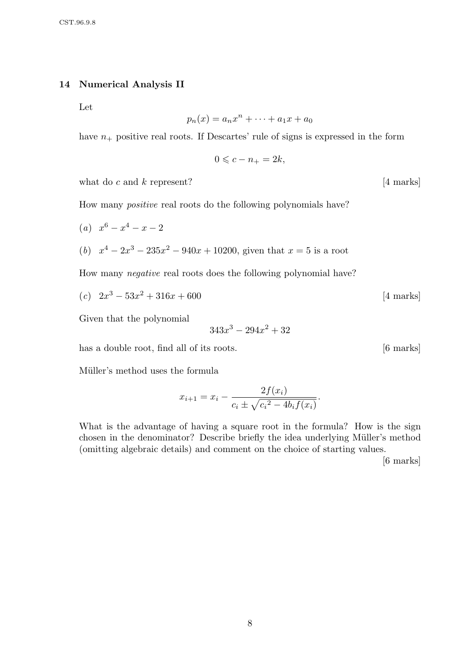#### 14 Numerical Analysis II

Let

$$
p_n(x) = a_n x^n + \dots + a_1 x + a_0
$$

have  $n_{+}$  positive real roots. If Descartes' rule of signs is expressed in the form

 $0 \leqslant c - n_{+} = 2k,$ 

what do  $c$  and  $k$  represent? [4 marks]

How many positive real roots do the following polynomials have?

\n- (a) 
$$
x^6 - x^4 - x - 2
$$
\n- (b)  $x^4 - 2x^3 - 235x^2 - 940x + 10200$ , given that  $x = 5$  is a root
\n

How many negative real roots does the following polynomial have?

$$
(c) \quad 2x^3 - 53x^2 + 316x + 600 \tag{4 marks}
$$

Given that the polynomial

$$
343x^3 - 294x^2 + 32
$$

has a double root, find all of its roots. [6 marks]

Müller's method uses the formula

$$
x_{i+1} = x_i - \frac{2f(x_i)}{c_i \pm \sqrt{{c_i}^2 - 4b_i f(x_i)}}.
$$

What is the advantage of having a square root in the formula? How is the sign chosen in the denominator? Describe briefly the idea underlying Müller's method (omitting algebraic details) and comment on the choice of starting values.

[6 marks]